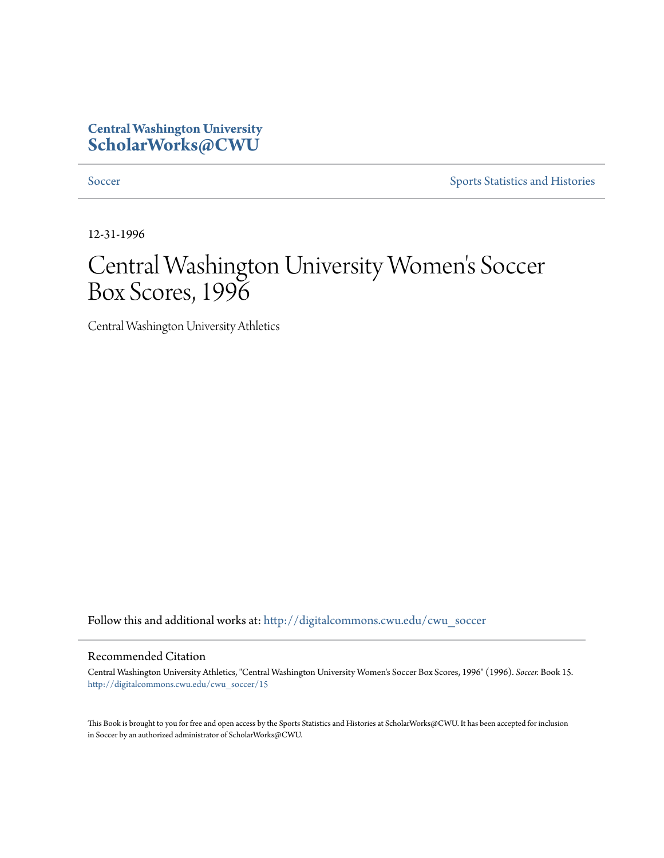## **Central Washington University [ScholarWorks@CWU](http://digitalcommons.cwu.edu?utm_source=digitalcommons.cwu.edu%2Fcwu_soccer%2F15&utm_medium=PDF&utm_campaign=PDFCoverPages)**

[Soccer](http://digitalcommons.cwu.edu/cwu_soccer?utm_source=digitalcommons.cwu.edu%2Fcwu_soccer%2F15&utm_medium=PDF&utm_campaign=PDFCoverPages) [Sports Statistics and Histories](http://digitalcommons.cwu.edu/cwu_sports_statistics?utm_source=digitalcommons.cwu.edu%2Fcwu_soccer%2F15&utm_medium=PDF&utm_campaign=PDFCoverPages)

12-31-1996

# Central Washington University Women 's Soccer Box Scores, 1996

Central Washington University Athletics

Follow this and additional works at: [http://digitalcommons.cwu.edu/cwu\\_soccer](http://digitalcommons.cwu.edu/cwu_soccer?utm_source=digitalcommons.cwu.edu%2Fcwu_soccer%2F15&utm_medium=PDF&utm_campaign=PDFCoverPages)

### Recommended Citation

Central Washington University Athletics, "Central Washington University Women's Soccer Box Scores, 1996" (1996). *Soccer.* Book 15. [http://digitalcommons.cwu.edu/cwu\\_soccer/15](http://digitalcommons.cwu.edu/cwu_soccer/15?utm_source=digitalcommons.cwu.edu%2Fcwu_soccer%2F15&utm_medium=PDF&utm_campaign=PDFCoverPages)

This Book is brought to you for free and open access by the Sports Statistics and Histories at ScholarWorks@CWU. It has been accepted for inclusion in Soccer by an authorized administrator of ScholarWorks@CWU.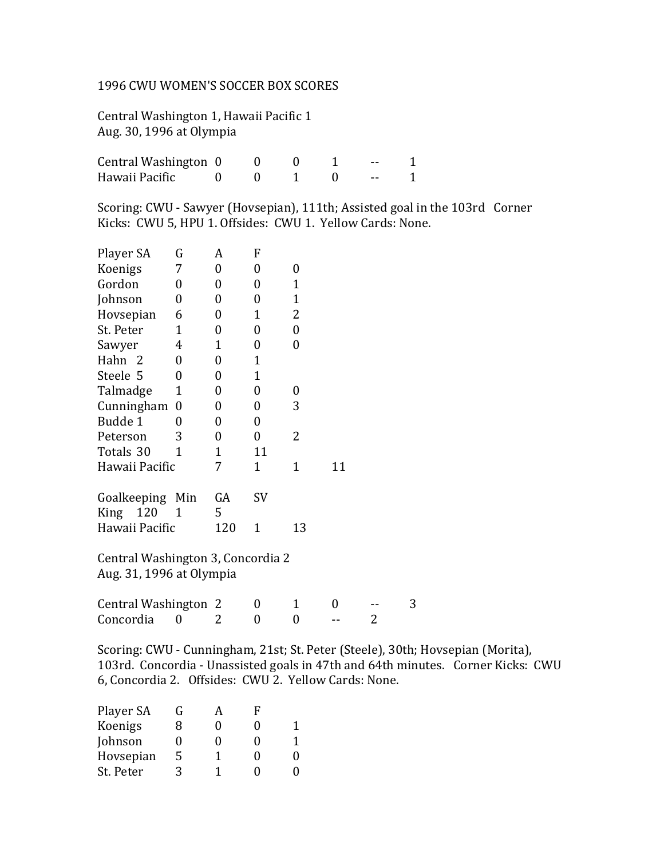### 1996 CWU WOMEN'S SOCCER BOX SCORES

Central Washington 1, Hawaii Pacific 1 Aug. 30, 1996 at Olympia

| Central Washington 0 |  |  |  |
|----------------------|--|--|--|
| Hawaii Pacific       |  |  |  |

Scoring: CWU - Sawyer (Hovsepian), 111th; Assisted goal in the 103rd Corner Kicks: CWU 5, HPU 1. Offsides: CWU 1. Yellow Cards: None.

| Player SA                         | G                | A                | F                |                  |    |   |   |
|-----------------------------------|------------------|------------------|------------------|------------------|----|---|---|
| Koenigs                           | 7                | $\boldsymbol{0}$ | $\overline{0}$   | $\overline{0}$   |    |   |   |
| Gordon                            | 0                | $\boldsymbol{0}$ | 0                | $\mathbf{1}$     |    |   |   |
| Johnson                           | $\overline{0}$   | $\boldsymbol{0}$ | $\overline{0}$   | $\mathbf{1}$     |    |   |   |
| Hovsepian                         | 6                | 0                | $\mathbf{1}$     | 2                |    |   |   |
| St. Peter                         | $\mathbf{1}$     | 0                | 0                | $\boldsymbol{0}$ |    |   |   |
| Sawyer                            | 4                | $\mathbf{1}$     | 0                | 0                |    |   |   |
| Hahn 2                            | 0                | 0                | $\mathbf{1}$     |                  |    |   |   |
| Steele 5                          | 0                | 0                | $\mathbf{1}$     |                  |    |   |   |
| Talmadge                          | $\mathbf 1$      | 0                | 0                | 0                |    |   |   |
| Cunningham                        | $\boldsymbol{0}$ | $\overline{0}$   | $\overline{0}$   | 3                |    |   |   |
| Budde 1                           | $\overline{0}$   | $\overline{0}$   | $\overline{0}$   |                  |    |   |   |
| Peterson                          | 3                | 0                | $\boldsymbol{0}$ | $\overline{2}$   |    |   |   |
| Totals 30                         | 1                | $\mathbf{1}$     | 11               |                  |    |   |   |
| Hawaii Pacific                    |                  | 7                | $\mathbf{1}$     | $\mathbf{1}$     | 11 |   |   |
|                                   |                  |                  |                  |                  |    |   |   |
| Goalkeeping Min                   |                  | GA               | SV               |                  |    |   |   |
| 120<br>King                       | $\mathbf{1}$     | 5                |                  |                  |    |   |   |
| Hawaii Pacific                    |                  | 120              | $\mathbf{1}$     | 13               |    |   |   |
|                                   |                  |                  |                  |                  |    |   |   |
| Central Washington 3, Concordia 2 |                  |                  |                  |                  |    |   |   |
| Aug. 31, 1996 at Olympia          |                  |                  |                  |                  |    |   |   |
|                                   |                  |                  |                  |                  |    |   |   |
| Central Washington 2              |                  |                  | 0                | $\mathbf{1}$     | 0  |   | 3 |
| Concordia                         | 0                | 2                | 0                | 0                |    | 2 |   |
|                                   |                  |                  |                  |                  |    |   |   |

Scoring: CWU - Cunningham, 21st; St. Peter (Steele), 30th; Hovsepian (Morita), 103rd. Concordia - Unassisted goals in 47th and 64th minutes. Corner Kicks: CWU 6, Concordia 2. Offsides: CWU 2. Yellow Cards: None.

| Player SA | G |   | F                 |   |
|-----------|---|---|-------------------|---|
| Koenigs   | 8 | 0 | $\mathbf{\Omega}$ |   |
| Johnson   | 0 | 0 | $\mathbf{0}$      | 1 |
| Hovsepian | 5 | 1 | $\mathbf{\Omega}$ | 0 |
| St. Peter | २ | 1 | 0                 | 0 |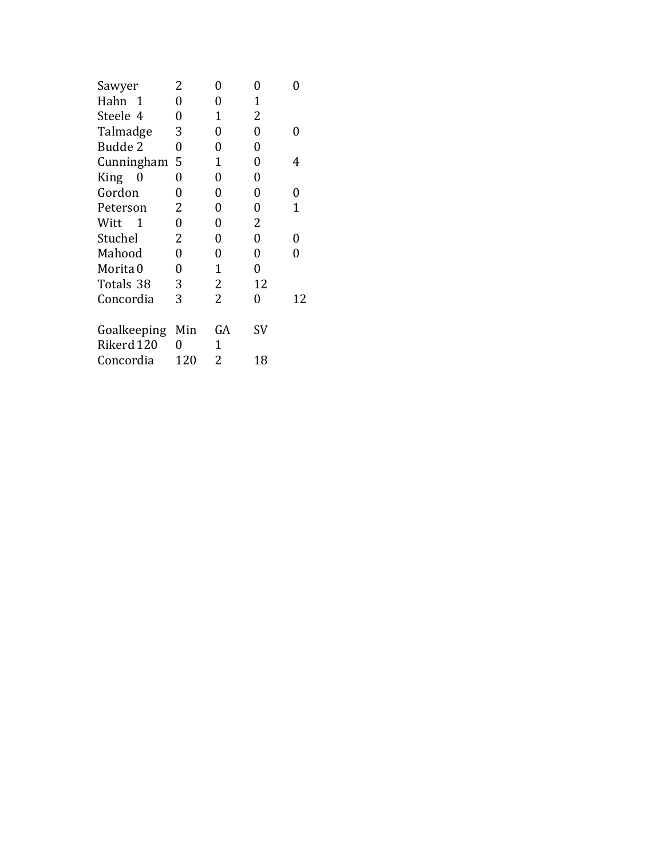| Sawyer               | 2   | 0              | 0              |    |
|----------------------|-----|----------------|----------------|----|
| Hahn 1               | 0   | 0              | 1              |    |
| Steele 4             | 0   | 1              | $\overline{2}$ |    |
| Talmadge             | 3   | 0              | 0              | 0  |
| Budde 2              | 0   | 0              | 0              |    |
| Cunningham           | 5   | 1              | 0              | 4  |
| King<br>0            | 0   | 0              | 0              |    |
| Gordon               | 0   | 0              | 0              | 0  |
| Peterson             | 2   | 0              | 0              | 1  |
| Witt<br>$\mathbf{1}$ | 0   | 0              | 2              |    |
| Stuchel              | 2   | 0              | 0              | 0  |
| Mahood               | 0   | 0              | 0              | 0  |
| Morita 0             | 0   | 1              | 0              |    |
| Totals 38            | 3   | 2              | 12             |    |
| Concordia            | 3   | $\overline{2}$ | 0              | 12 |
| Goalkeeping          | Min | GA             | SV             |    |
| Rikerd 120           | 0   | 1              |                |    |
| Concordia            | 120 | 2              | 18             |    |
|                      |     |                |                |    |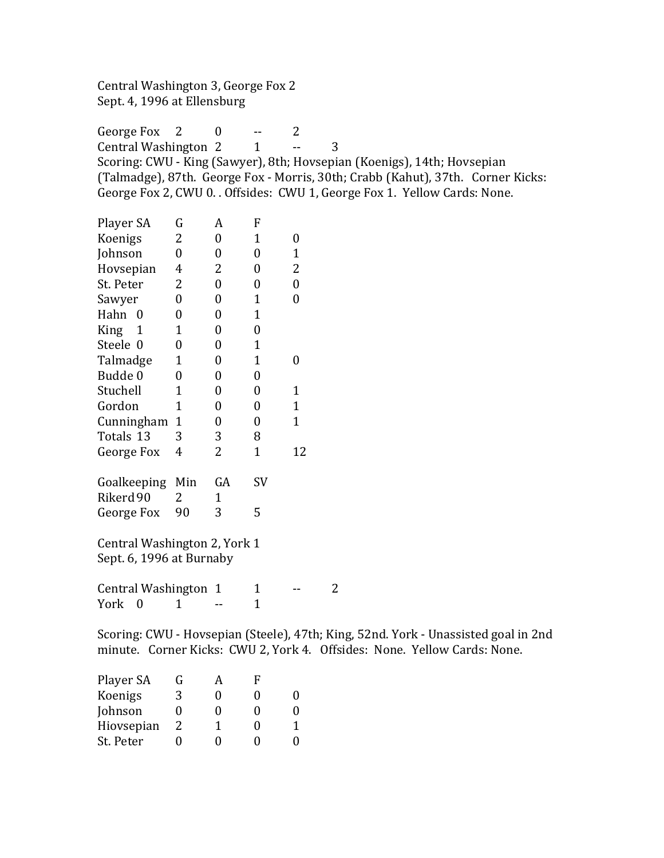Central Washington 3, George Fox 2 Sept. 4, 1996 at Ellensburg

George Fox  $2 \t 0 \t -2$ Central Washington 2 1 -- 3 Scoring: CWU - King (Sawyer), 8th; Hovsepian (Koenigs), 14th; Hovsepian (Talmadge), 87th. George Fox - Morris, 30th; Crabb (Kahut), 37th. Corner Kicks: George Fox 2, CWU 0. . Offsides: CWU 1, George Fox 1. Yellow Cards: None.

| Player SA                                                                          | G                | A                | F                |                  |                |  |  |  |  |
|------------------------------------------------------------------------------------|------------------|------------------|------------------|------------------|----------------|--|--|--|--|
| Koenigs                                                                            | 2                | $\boldsymbol{0}$ | $\mathbf{1}$     | $\boldsymbol{0}$ |                |  |  |  |  |
| Johnson                                                                            | $\theta$         | $\boldsymbol{0}$ | $\boldsymbol{0}$ | $\mathbf{1}$     |                |  |  |  |  |
| Hovsepian                                                                          | 4                | 2                | $\boldsymbol{0}$ | 2                |                |  |  |  |  |
| St. Peter                                                                          | 2                | $\boldsymbol{0}$ | $\boldsymbol{0}$ | $\boldsymbol{0}$ |                |  |  |  |  |
| Sawyer                                                                             | $\boldsymbol{0}$ | $\boldsymbol{0}$ | $\mathbf{1}$     | $\boldsymbol{0}$ |                |  |  |  |  |
| Hahn 0                                                                             | $\boldsymbol{0}$ | $\boldsymbol{0}$ | $\mathbf{1}$     |                  |                |  |  |  |  |
| King<br>$\mathbf{1}$                                                               | $\mathbf{1}$     | $\boldsymbol{0}$ | $\boldsymbol{0}$ |                  |                |  |  |  |  |
| Steele 0                                                                           | $\boldsymbol{0}$ | $\boldsymbol{0}$ | $\mathbf{1}$     |                  |                |  |  |  |  |
| Talmadge                                                                           | $\mathbf{1}$     | $\boldsymbol{0}$ | $\mathbf{1}$     | $\boldsymbol{0}$ |                |  |  |  |  |
| Budde 0                                                                            | $\boldsymbol{0}$ | $\boldsymbol{0}$ | $\boldsymbol{0}$ |                  |                |  |  |  |  |
| Stuchell                                                                           | $\mathbf{1}$     | 0                | $\boldsymbol{0}$ | $\mathbf{1}$     |                |  |  |  |  |
| Gordon                                                                             | $\mathbf{1}$     | $\boldsymbol{0}$ | $\boldsymbol{0}$ | $\mathbf{1}$     |                |  |  |  |  |
| Cunningham                                                                         | $\mathbf{1}$     | $\boldsymbol{0}$ | $\boldsymbol{0}$ | $\mathbf{1}$     |                |  |  |  |  |
| Totals 13                                                                          | 3                | 3                | 8                |                  |                |  |  |  |  |
| George Fox                                                                         | 4                | 2                | $\mathbf{1}$     | 12               |                |  |  |  |  |
| Goalkeeping Min                                                                    |                  | GA               | SV               |                  |                |  |  |  |  |
| Rikerd 90                                                                          | 2                | $\mathbf{1}$     |                  |                  |                |  |  |  |  |
| George Fox                                                                         | 90               | 3                | 5                |                  |                |  |  |  |  |
|                                                                                    |                  |                  |                  |                  |                |  |  |  |  |
| Central Washington 2, York 1                                                       |                  |                  |                  |                  |                |  |  |  |  |
| Sept. 6, 1996 at Burnaby                                                           |                  |                  |                  |                  |                |  |  |  |  |
| Central Washington 1                                                               |                  |                  | $\mathbf{1}$     |                  | $\overline{2}$ |  |  |  |  |
| York<br>$\overline{0}$                                                             | 1                |                  | $\mathbf{1}$     |                  |                |  |  |  |  |
|                                                                                    |                  |                  |                  |                  |                |  |  |  |  |
| Scoring: CWU - Hovsepian (Steele), 47th; King, 52nd. York - Unassisted goal in 2nd |                  |                  |                  |                  |                |  |  |  |  |
| minute. Corner Kicks: CWU 2, York 4. Offsides: None. Yellow Cards: None.           |                  |                  |                  |                  |                |  |  |  |  |

| Player SA  | G | А | F                 |   |
|------------|---|---|-------------------|---|
| Koenigs    | 3 | 0 | 0                 | 0 |
| Johnson    | 0 | 0 | $\mathbf{0}$      | 0 |
| Hiovsepian | 2 | 1 | $\mathbf{\Omega}$ | 1 |
| St. Peter  |   | 0 | 0                 | 0 |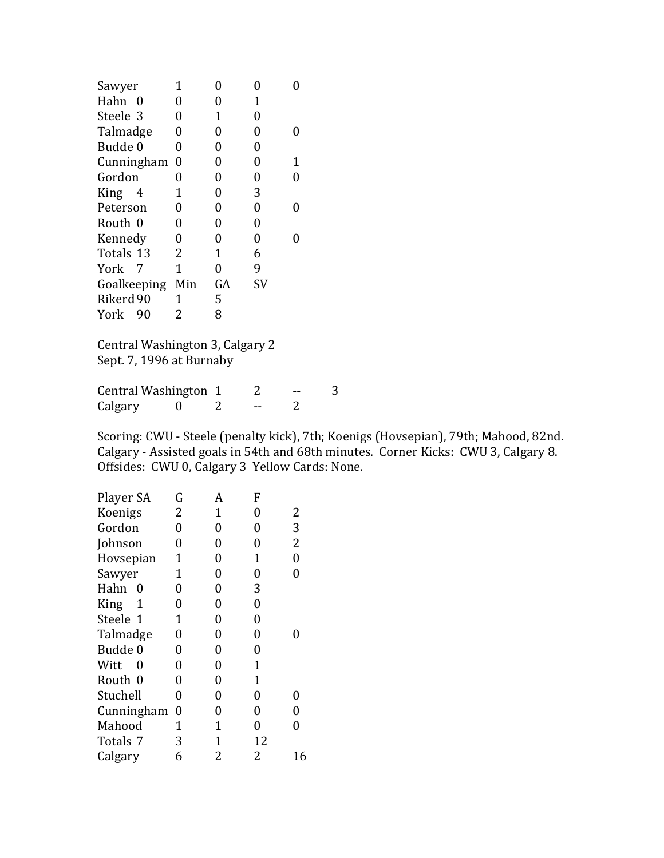| Sawyer      | 1              | 0  | 0              |   |
|-------------|----------------|----|----------------|---|
| Hahn<br>0   | 0              | 0  | 1              |   |
| Steele 3    | 0              | 1  | 0              |   |
| Talmadge    | 0              | 0  | 0              | 0 |
| Budde 0     | 0              | 0  | 0              |   |
| Cunningham  | $\overline{0}$ | 0  | 0              | 1 |
| Gordon      | 0              | 0  | 0              | 0 |
| King<br>4   | 1              | 0  | 3              |   |
| Peterson    | 0              | 0  | 0              | 0 |
| Routh 0     | 0              | 0  | 0              |   |
| Kennedy     | 0              | 0  | $\overline{0}$ |   |
| Totals 13   | 2              | 1  | 6              |   |
| York<br>- 7 | 1              | 0  | 9              |   |
| Goalkeeping | Min            | GA | <b>SV</b>      |   |
| Rikerd 90   | 1              | 5  |                |   |
| York<br>90  | 2              | 8  |                |   |
|             |                |    |                |   |

Central Washington 3, Calgary 2 Sept. 7, 1996 at Burnaby

Central Washington  $1$  2 -- 3<br>Calgary 0 2 -- 2 Calgary 0 2 -- 2

Scoring: CWU - Steele (penalty kick), 7th; Koenigs (Hovsepian), 79th; Mahood, 82nd. Calgary - Assisted goals in 54th and 68th minutes. Corner Kicks: CWU 3, Calgary 8. Offsides: CWU 0, Calgary 3 Yellow Cards: None.

| Player SA  | G | A                | F                |                  |
|------------|---|------------------|------------------|------------------|
| Koenigs    | 2 | 1                | 0                | 2                |
| Gordon     | 0 | $\overline{0}$   | 0                | 3                |
| Johnson    | 0 | $\overline{0}$   | 0                | 2                |
| Hovsepian  | 1 | $\overline{0}$   | 1                | $\boldsymbol{0}$ |
| Sawyer     | 1 | $\overline{0}$   | 0                | $\overline{0}$   |
| Hahn<br>0  | 0 | $\overline{0}$   | 3                |                  |
| King<br>1  | 0 | $\boldsymbol{0}$ | $\boldsymbol{0}$ |                  |
| Steele 1   | 1 | $\overline{0}$   | $\boldsymbol{0}$ |                  |
| Talmadge   | 0 | 0                | 0                |                  |
| Budde 0    | 0 | $\overline{0}$   | 0                |                  |
| Witt<br>0  | 0 | $\overline{0}$   | 1                |                  |
| Routh 0    | 0 | $\overline{0}$   | 1                |                  |
| Stuchell   | 0 | 0                | $\overline{0}$   | 0                |
| Cunningham | 0 | 0                | 0                | 0                |
| Mahood     | 1 | 1                | 0                | 0                |
| Totals 7   | 3 | 1                | 12               |                  |
| Calgary    | 6 | 2                | 2                | 16               |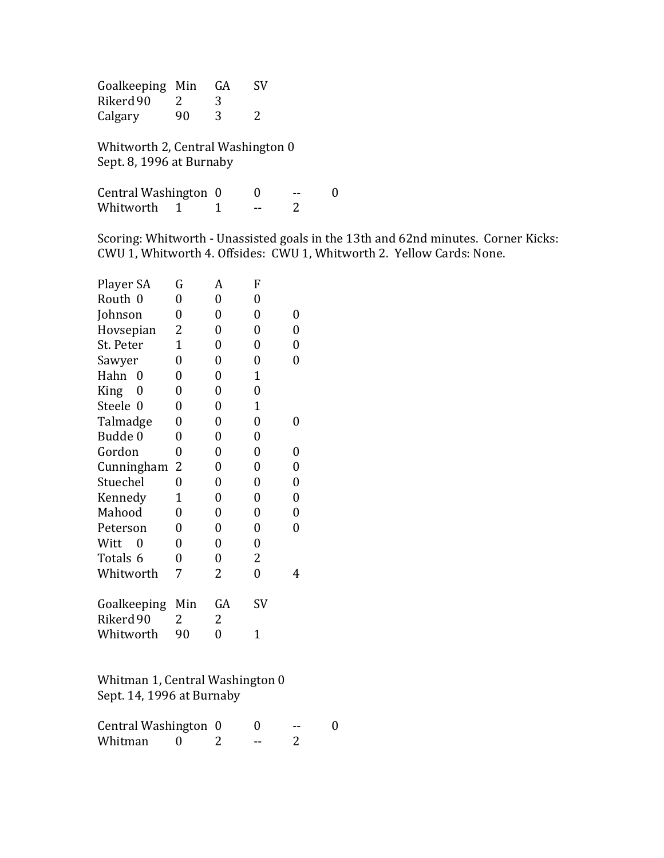Goalkeeping Min GA SV Rikerd 90 2 3<br>Calgary 90 3 Calgary 90 3 2

Whitworth 2, Central Washington 0 Sept. 8, 1996 at Burnaby

Central Washington 0 0 -- 0 Whitworth 1 1 -- 2

Scoring: Whitworth - Unassisted goals in the 13th and 62nd minutes. Corner Kicks: CWU 1, Whitworth 4. Offsides: CWU 1, Whitworth 2. Yellow Cards: None.

| Player SA   | G              | A                | F              |   |
|-------------|----------------|------------------|----------------|---|
| Routh 0     | 0              | 0                | 0              |   |
| Johnson     | 0              | $\boldsymbol{0}$ | 0              | 0 |
| Hovsepian   | 2              | $\overline{0}$   | $\overline{0}$ | 0 |
| St. Peter   | $\overline{1}$ | $\overline{0}$   | $\overline{0}$ | 0 |
| Sawyer      | 0              | 0                | 0              | 0 |
| Hahn<br>0   | $\overline{0}$ | $\overline{0}$   | $\mathbf{1}$   |   |
| King<br>0   | 0              | $\boldsymbol{0}$ | $\overline{0}$ |   |
| Steele 0    | $\overline{0}$ | $\overline{0}$   | $\overline{1}$ |   |
| Talmadge    | 0              | $\boldsymbol{0}$ | 0              | 0 |
| Budde 0     | 0              | 0                | 0              |   |
| Gordon      | 0              | 0                | 0              | 0 |
| Cunningham  | 2              | $\overline{0}$   | 0              | 0 |
| Stuechel    | 0              | 0                | 0              | 0 |
| Kennedy     | 1              | 0                | 0              | 0 |
| Mahood      | 0              | $\overline{0}$   | 0              | 0 |
| Peterson    | 0              | $\boldsymbol{0}$ | 0              | 0 |
| Witt<br>0   | 0              | 0                | $\overline{0}$ |   |
| Totals 6    | 0              | $\boldsymbol{0}$ | $\overline{2}$ |   |
| Whitworth   | 7              | 2                | 0              | 4 |
| Goalkeeping | Min            | GA               | SV             |   |
| Rikerd 90   | 2              | 2                |                |   |
| Whitworth   | 90             | 0                | $\mathbf{1}$   |   |

Whitman 1, Central Washington 0 Sept. 14, 1996 at Burnaby

| Central Washington 0 |  |  |  |
|----------------------|--|--|--|
| Whitman              |  |  |  |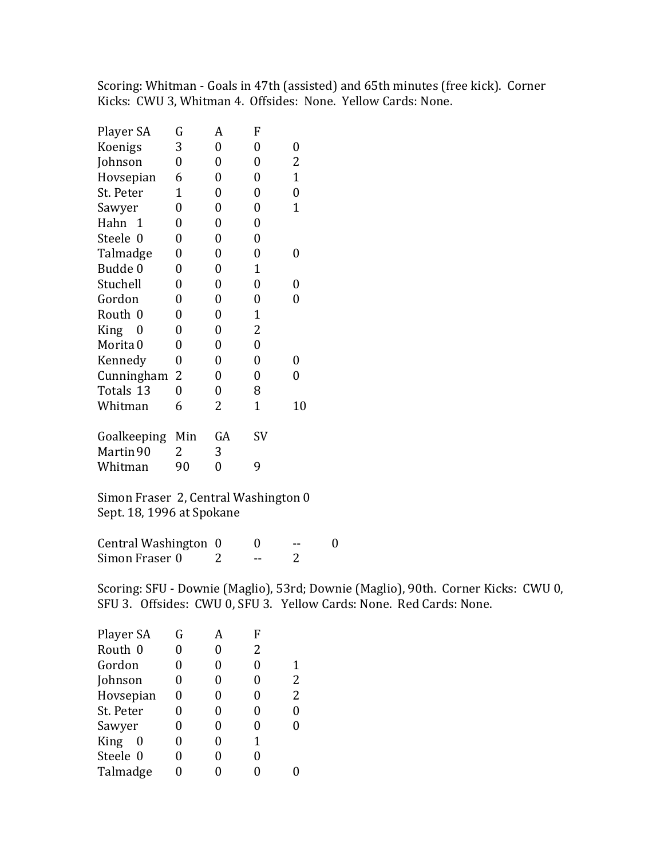Scoring: Whitman - Goals in 47th (assisted) and 65th minutes (free kick). Corner Kicks: CWU 3, Whitman 4. Offsides: None. Yellow Cards: None.

| Player SA            | G                | A                | F              |              |
|----------------------|------------------|------------------|----------------|--------------|
| Koenigs              | 3                | 0                | 0              | 0            |
| Johnson              | 0                | 0                | 0              | 2            |
| Hovsepian            | 6                | 0                | 0              | $\mathbf{1}$ |
| St. Peter            | $\mathbf{1}$     | $\boldsymbol{0}$ | 0              | 0            |
| Sawyer               | $\boldsymbol{0}$ | $\boldsymbol{0}$ | 0              | $\mathbf{1}$ |
| Hahn<br>$\mathbf{1}$ | 0                | $\boldsymbol{0}$ | 0              |              |
| Steele 0             | 0                | 0                | 0              |              |
| Talmadge             | 0                | $\boldsymbol{0}$ | 0              | 0            |
| Budde 0              | $\boldsymbol{0}$ | $\boldsymbol{0}$ | $\mathbf{1}$   |              |
| Stuchell             | $\boldsymbol{0}$ | $\boldsymbol{0}$ | 0              | 0            |
| Gordon               | $\boldsymbol{0}$ | $\boldsymbol{0}$ | 0              | 0            |
| Routh 0              | $\boldsymbol{0}$ | $\boldsymbol{0}$ | $\mathbf{1}$   |              |
| King<br>0            | 0                | $\boldsymbol{0}$ | 2              |              |
| Morita <sub>0</sub>  | 0                | $\boldsymbol{0}$ | $\overline{0}$ |              |
| Kennedy              | 0                | $\boldsymbol{0}$ | 0              | 0            |
| Cunningham           | 2                | $\boldsymbol{0}$ | 0              | 0            |
| Totals 13            | 0                | $\boldsymbol{0}$ | 8              |              |
| Whitman              | 6                | 2                | $\mathbf{1}$   | 10           |
| Goalkeeping          | Min              | GA               | SV             |              |
| Martin 90            | 2                | 3                |                |              |
| Whitman              | 90               | 0                | 9              |              |
|                      |                  |                  |                |              |

Simon Fraser 2, Central Washington 0 Sept. 18, 1996 at Spokane

Central Washington 0 0 -- 0<br>Simon Fraser 0 2 -- 2  $Simon Fraser 0$  2 -- 2

Scoring: SFU - Downie (Maglio), 53rd; Downie (Maglio), 90th. Corner Kicks: CWU 0, SFU 3. Offsides: CWU 0, SFU 3. Yellow Cards: None. Red Cards: None.

| Player SA               | G | А | F |                |
|-------------------------|---|---|---|----------------|
| Routh 0                 | 0 | 0 | 2 |                |
| Gordon                  | 0 | 0 | 0 |                |
| Johnson                 | 0 | 0 | 0 | $\overline{2}$ |
| Hovsepian               | 0 | 0 | 0 | $\overline{2}$ |
| St. Peter               | 0 | 0 | 0 | 0              |
| Sawyer                  | 0 | 0 | 0 |                |
| <b>King</b><br>$\theta$ | 0 | 0 | 1 |                |
| Steele 0                | 0 | 0 | 0 |                |
| Talmadge                |   | 0 |   |                |